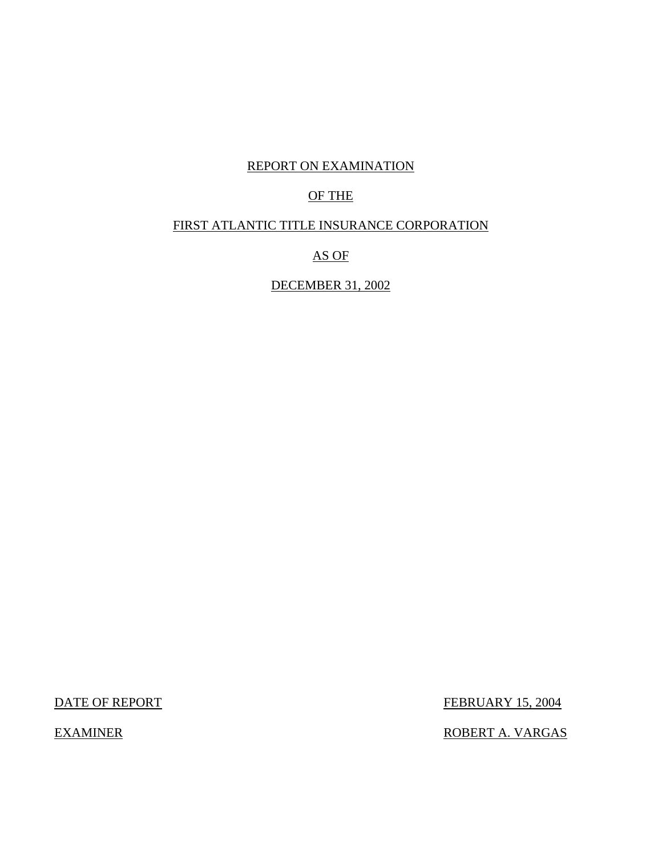## REPORT ON EXAMINATION

## OF THE

## FIRST ATLANTIC TITLE INSURANCE CORPORATION

AS OF

DECEMBER 31, 2002

DATE OF REPORT FEBRUARY 15, 2004

EXAMINER ROBERT A. VARGAS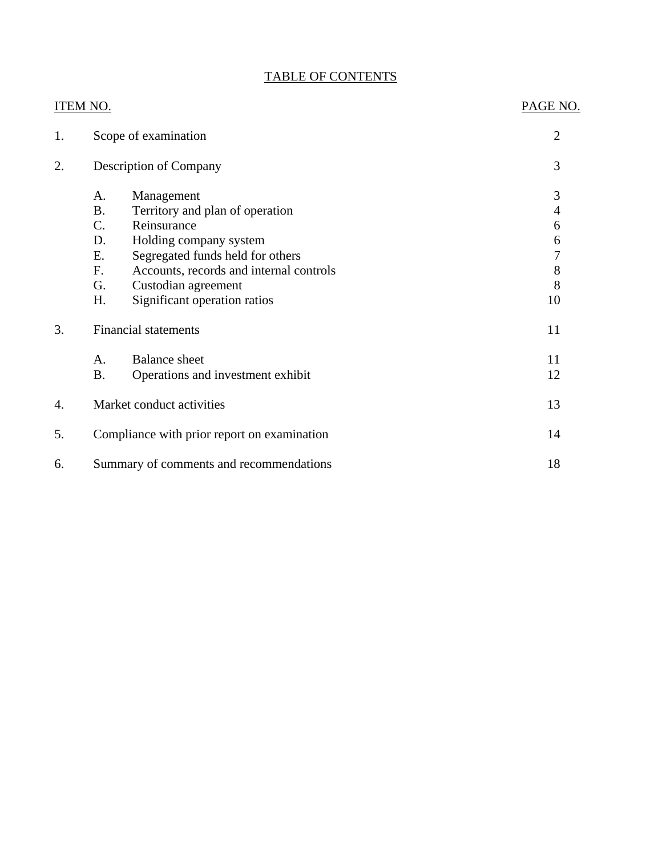## TABLE OF CONTENTS

|    | <b>ITEM NO.</b>                                   |                                         | PAGE NO.       |
|----|---------------------------------------------------|-----------------------------------------|----------------|
| 1. |                                                   | Scope of examination                    | $\overline{2}$ |
| 2. |                                                   | Description of Company                  | 3              |
|    | A.                                                | Management                              | 3              |
|    | <b>B.</b>                                         | Territory and plan of operation         | $\overline{4}$ |
|    | $C$ .                                             | Reinsurance                             | 6              |
|    | D.                                                | Holding company system                  | 6              |
|    | E.                                                | Segregated funds held for others        | 7              |
|    | F.                                                | Accounts, records and internal controls | $8\,$          |
|    | G.                                                | Custodian agreement                     | 8              |
|    | Η.                                                | Significant operation ratios            | 10             |
| 3. |                                                   | <b>Financial statements</b>             | 11             |
|    | A.                                                | <b>Balance</b> sheet                    | 11             |
|    | <b>B.</b>                                         | Operations and investment exhibit       | 12             |
| 4. |                                                   | Market conduct activities               | 13             |
| 5. | Compliance with prior report on examination<br>14 |                                         |                |
| 6. |                                                   | Summary of comments and recommendations | 18             |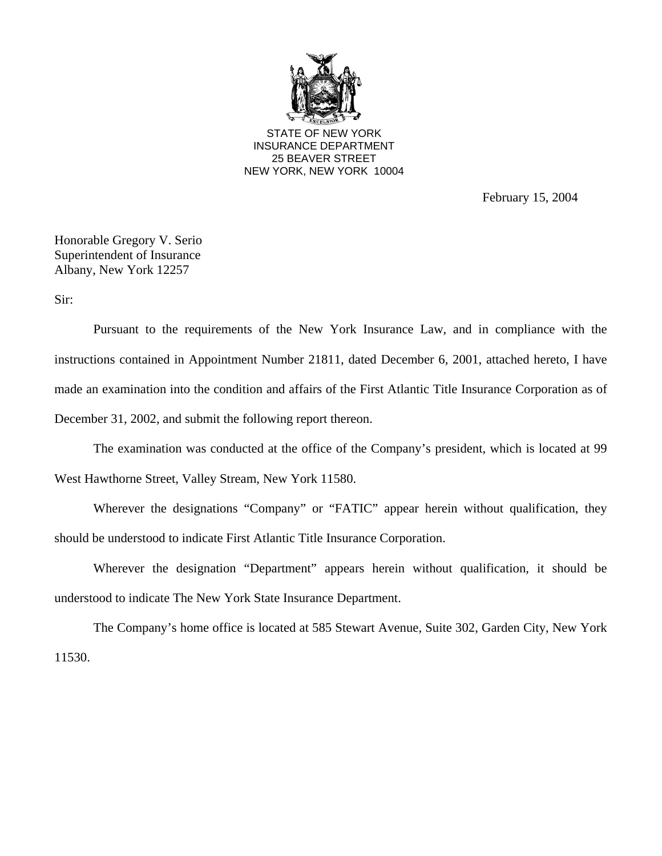

STATE OF NEW YORK INSURANCE DEPARTMENT 25 BEAVER STREET NEW YORK, NEW YORK 10004

February 15, 2004

Honorable Gregory V. Serio Superintendent of Insurance Albany, New York 12257

Sir:

Pursuant to the requirements of the New York Insurance Law, and in compliance with the instructions contained in Appointment Number 21811, dated December 6, 2001, attached hereto, I have made an examination into the condition and affairs of the First Atlantic Title Insurance Corporation as of December 31, 2002, and submit the following report thereon.

The examination was conducted at the office of the Company's president, which is located at 99

West Hawthorne Street, Valley Stream, New York 11580.

Wherever the designations "Company" or "FATIC" appear herein without qualification, they should be understood to indicate First Atlantic Title Insurance Corporation.

Wherever the designation "Department" appears herein without qualification, it should be understood to indicate The New York State Insurance Department.

The Company's home office is located at 585 Stewart Avenue, Suite 302, Garden City, New York 11530.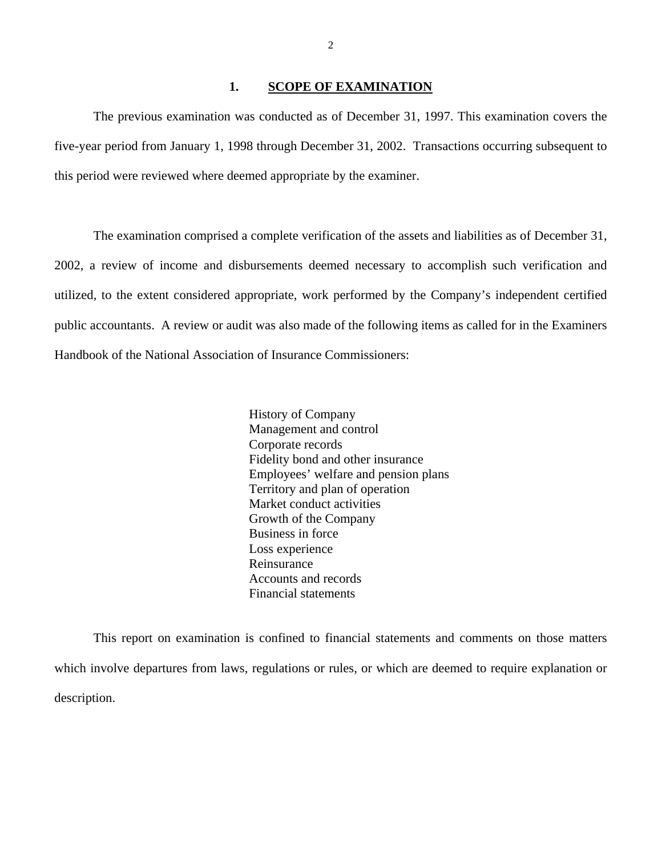#### 1. **SCOPE OF EXAMINATION**

<span id="page-3-0"></span>The previous examination was conducted as of December 31, 1997. This examination covers the five-year period from January 1, 1998 through December 31, 2002. Transactions occurring subsequent to this period were reviewed where deemed appropriate by the examiner.

The examination comprised a complete verification of the assets and liabilities as of December 31, 2002, a review of income and disbursements deemed necessary to accomplish such verification and utilized, to the extent considered appropriate, work performed by the Company's independent certified public accountants. A review or audit was also made of the following items as called for in the Examiners Handbook of the National Association of Insurance Commissioners:

> History of Company Management and control Corporate records Fidelity bond and other insurance Employees' welfare and pension plans Territory and plan of operation Market conduct activities Growth of the Company Business in force Loss experience Reinsurance Accounts and records Financial statements

This report on examination is confined to financial statements and comments on those matters which involve departures from laws, regulations or rules, or which are deemed to require explanation or description.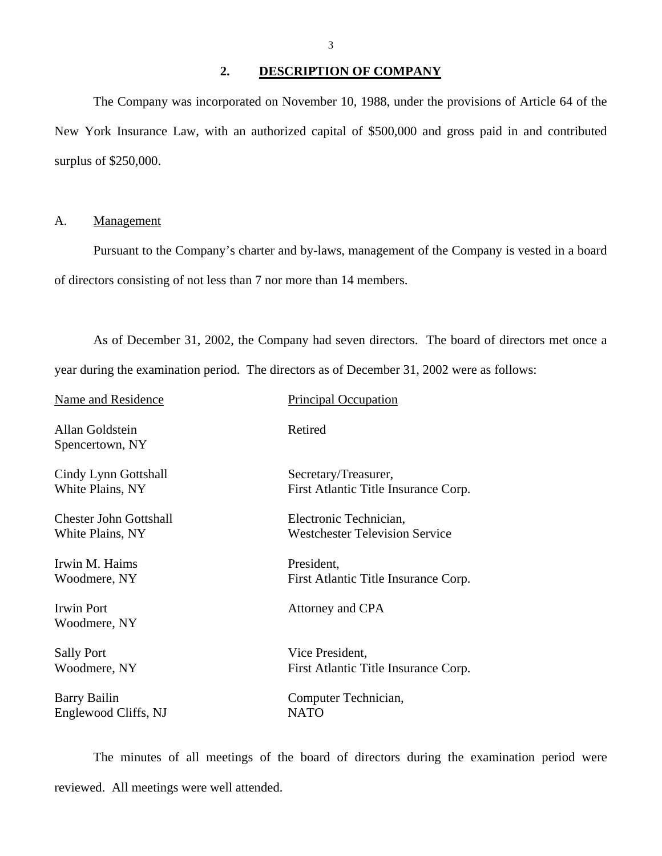<span id="page-4-0"></span>The Company was incorporated on November 10, 1988, under the provisions of Article 64 of the New York Insurance Law, with an authorized capital of \$500,000 and gross paid in and contributed surplus of \$250,000.

#### A. Management

Pursuant to the Company's charter and by-laws, management of the Company is vested in a board of directors consisting of not less than 7 nor more than 14 members.

As of December 31, 2002, the Company had seven directors. The board of directors met once a year during the examination period. The directors as of December 31, 2002 were as follows:

| Name and Residence                 | Principal Occupation                  |
|------------------------------------|---------------------------------------|
| Allan Goldstein<br>Spencertown, NY | Retired                               |
| Cindy Lynn Gottshall               | Secretary/Treasurer,                  |
| White Plains, NY                   | First Atlantic Title Insurance Corp.  |
| <b>Chester John Gottshall</b>      | Electronic Technician,                |
| White Plains, NY                   | <b>Westchester Television Service</b> |
| Irwin M. Haims                     | President,                            |
| Woodmere, NY                       | First Atlantic Title Insurance Corp.  |
| <b>Irwin Port</b><br>Woodmere, NY  | Attorney and CPA                      |
| <b>Sally Port</b>                  | Vice President,                       |
| Woodmere, NY                       | First Atlantic Title Insurance Corp.  |
| <b>Barry Bailin</b>                | Computer Technician,                  |
| Englewood Cliffs, NJ               | <b>NATO</b>                           |

The minutes of all meetings of the board of directors during the examination period were reviewed. All meetings were well attended.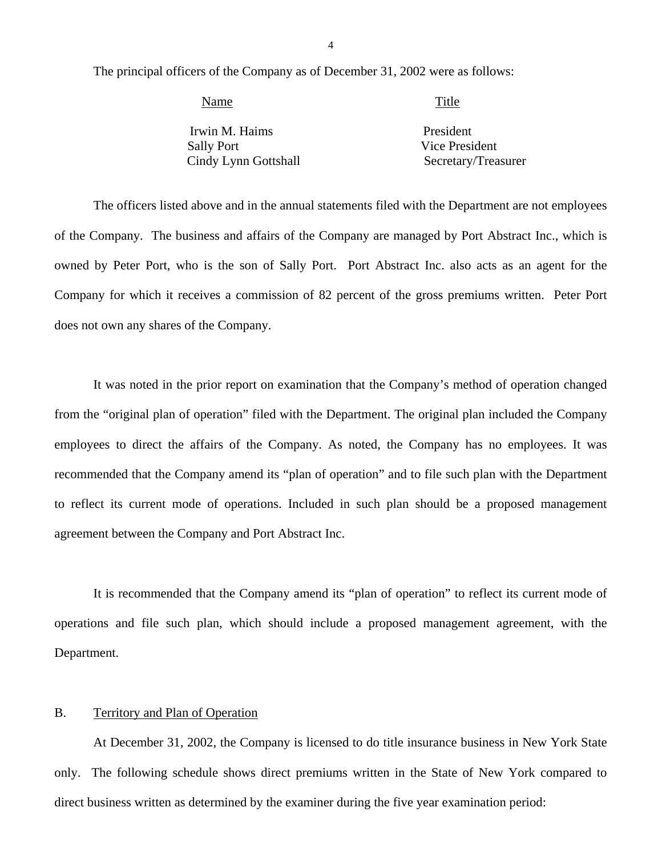<span id="page-5-0"></span>The principal officers of the Company as of December 31, 2002 were as follows:

| Name                 | Title               |
|----------------------|---------------------|
| Irwin M. Haims       | President           |
| <b>Sally Port</b>    | Vice President      |
| Cindy Lynn Gottshall | Secretary/Treasurer |

The officers listed above and in the annual statements filed with the Department are not employees of the Company. The business and affairs of the Company are managed by Port Abstract Inc., which is owned by Peter Port, who is the son of Sally Port. Port Abstract Inc. also acts as an agent for the Company for which it receives a commission of 82 percent of the gross premiums written. Peter Port does not own any shares of the Company.

It was noted in the prior report on examination that the Company's method of operation changed from the "original plan of operation" filed with the Department. The original plan included the Company employees to direct the affairs of the Company. As noted, the Company has no employees. It was recommended that the Company amend its "plan of operation" and to file such plan with the Department to reflect its current mode of operations. Included in such plan should be a proposed management agreement between the Company and Port Abstract Inc.

It is recommended that the Company amend its "plan of operation" to reflect its current mode of operations and file such plan, which should include a proposed management agreement, with the Department.

### B. Territory and Plan of Operation

At December 31, 2002, the Company is licensed to do title insurance business in New York State only. The following schedule shows direct premiums written in the State of New York compared to direct business written as determined by the examiner during the five year examination period: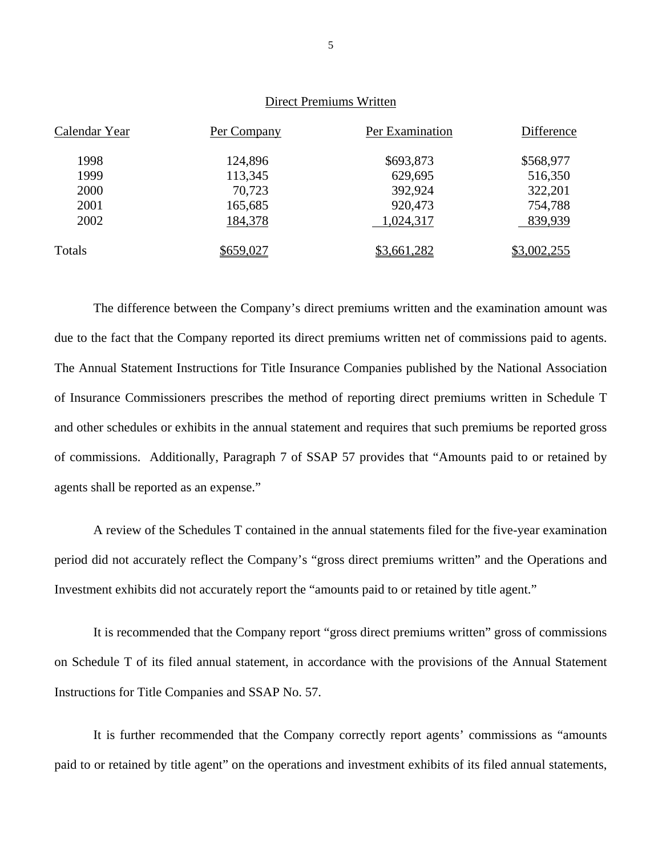### Direct Premiums Written

| Calendar Year | Per Company | Per Examination | Difference  |
|---------------|-------------|-----------------|-------------|
| 1998          | 124,896     | \$693,873       | \$568,977   |
| 1999          | 113,345     | 629,695         | 516,350     |
| 2000          | 70,723      | 392,924         | 322,201     |
| 2001          | 165,685     | 920,473         | 754,788     |
| 2002          | 184,378     | 1,024,317       | 839,939     |
| Totals        | \$659,027   | \$3,661,282     | \$3,002,255 |

The difference between the Company's direct premiums written and the examination amount was due to the fact that the Company reported its direct premiums written net of commissions paid to agents. The Annual Statement Instructions for Title Insurance Companies published by the National Association of Insurance Commissioners prescribes the method of reporting direct premiums written in Schedule T and other schedules or exhibits in the annual statement and requires that such premiums be reported gross of commissions. Additionally, Paragraph 7 of SSAP 57 provides that "Amounts paid to or retained by agents shall be reported as an expense."

A review of the Schedules T contained in the annual statements filed for the five-year examination period did not accurately reflect the Company's "gross direct premiums written" and the Operations and Investment exhibits did not accurately report the "amounts paid to or retained by title agent."

It is recommended that the Company report "gross direct premiums written" gross of commissions on Schedule T of its filed annual statement, in accordance with the provisions of the Annual Statement Instructions for Title Companies and SSAP No. 57.

It is further recommended that the Company correctly report agents' commissions as "amounts paid to or retained by title agent" on the operations and investment exhibits of its filed annual statements,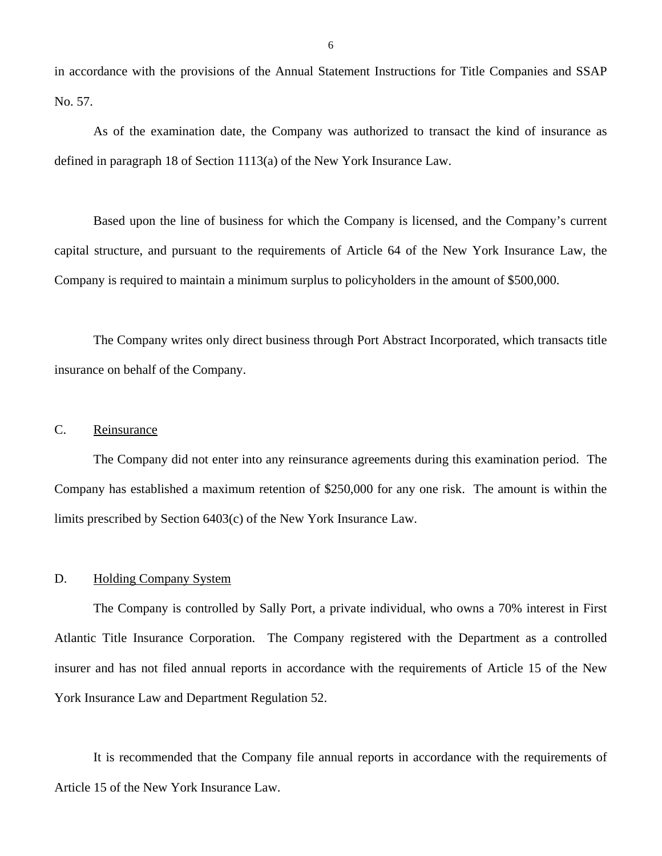<span id="page-7-0"></span>in accordance with the provisions of the Annual Statement Instructions for Title Companies and SSAP No. 57.

As of the examination date, the Company was authorized to transact the kind of insurance as defined in paragraph 18 of Section 1113(a) of the New York Insurance Law.

Based upon the line of business for which the Company is licensed, and the Company's current capital structure, and pursuant to the requirements of Article 64 of the New York Insurance Law, the Company is required to maintain a minimum surplus to policyholders in the amount of \$500,000.

The Company writes only direct business through Port Abstract Incorporated, which transacts title insurance on behalf of the Company.

#### C. Reinsurance

The Company did not enter into any reinsurance agreements during this examination period. The Company has established a maximum retention of \$250,000 for any one risk. The amount is within the limits prescribed by Section 6403(c) of the New York Insurance Law.

#### D. Holding Company System

The Company is controlled by Sally Port, a private individual, who owns a 70% interest in First Atlantic Title Insurance Corporation. The Company registered with the Department as a controlled insurer and has not filed annual reports in accordance with the requirements of Article 15 of the New York Insurance Law and Department Regulation 52.

It is recommended that the Company file annual reports in accordance with the requirements of Article 15 of the New York Insurance Law.

6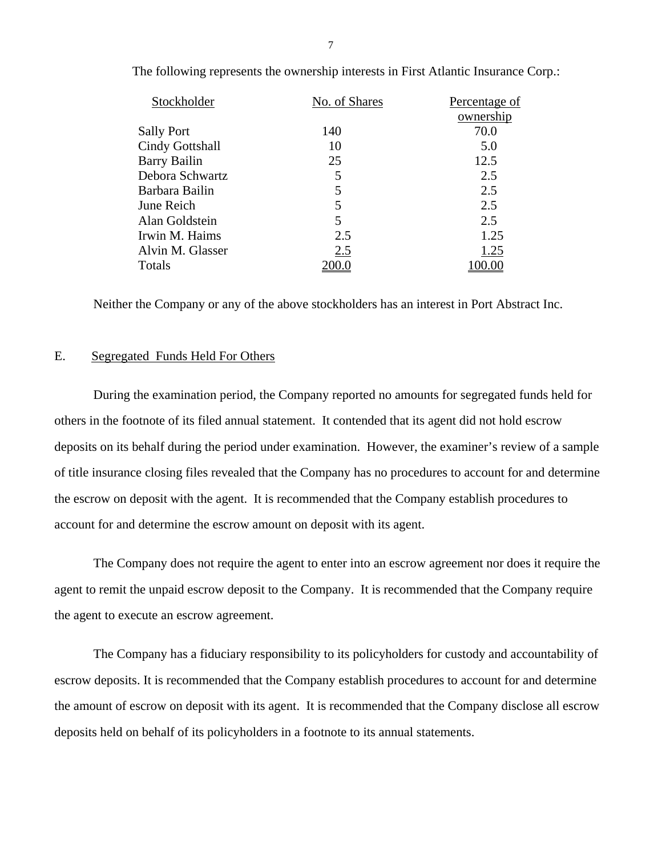| Stockholder         | No. of Shares | Percentage of |
|---------------------|---------------|---------------|
|                     |               | ownership     |
| <b>Sally Port</b>   | 140           | 70.0          |
| Cindy Gottshall     | 10            | 5.0           |
| <b>Barry Bailin</b> | 25            | 12.5          |
| Debora Schwartz     | 5             | 2.5           |
| Barbara Bailin      | 5             | 2.5           |
| June Reich          | 5             | 2.5           |
| Alan Goldstein      | 5             | 2.5           |
| Irwin M. Haims      | 2.5           | 1.25          |
| Alvin M. Glasser    | 2.5           | 1.25          |
| Totals              |               |               |
|                     |               |               |

<span id="page-8-0"></span>The following represents the ownership interests in First Atlantic Insurance Corp.:

Neither the Company or any of the above stockholders has an interest in Port Abstract Inc.

#### E. Segregated Funds Held For Others

During the examination period, the Company reported no amounts for segregated funds held for others in the footnote of its filed annual statement. It contended that its agent did not hold escrow deposits on its behalf during the period under examination. However, the examiner's review of a sample of title insurance closing files revealed that the Company has no procedures to account for and determine the escrow on deposit with the agent. It is recommended that the Company establish procedures to account for and determine the escrow amount on deposit with its agent.

The Company does not require the agent to enter into an escrow agreement nor does it require the agent to remit the unpaid escrow deposit to the Company. It is recommended that the Company require the agent to execute an escrow agreement.

The Company has a fiduciary responsibility to its policyholders for custody and accountability of escrow deposits. It is recommended that the Company establish procedures to account for and determine the amount of escrow on deposit with its agent. It is recommended that the Company disclose all escrow deposits held on behalf of its policyholders in a footnote to its annual statements.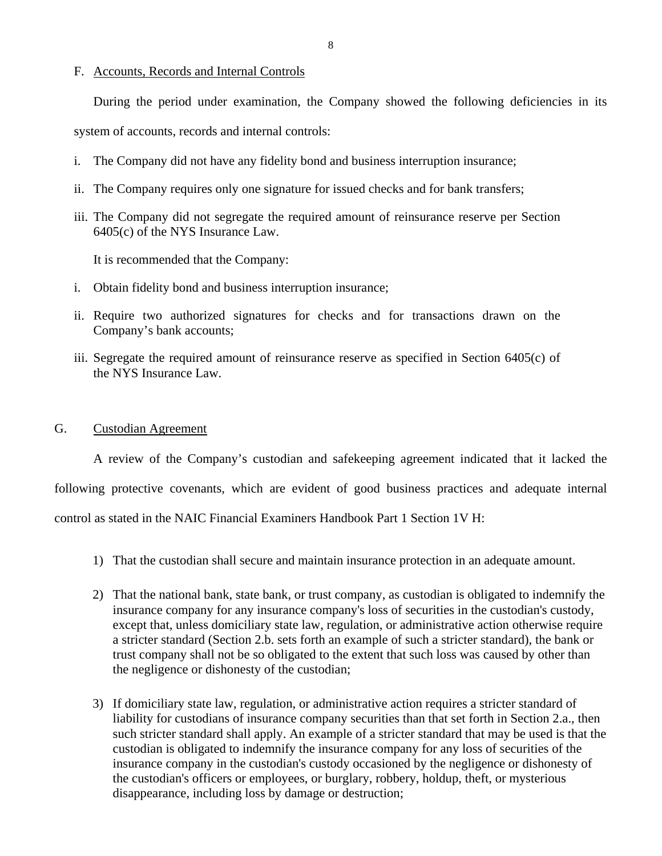#### <span id="page-9-0"></span>F. Accounts, Records and Internal Controls

During the period under examination, the Company showed the following deficiencies in its

system of accounts, records and internal controls:

- i. The Company did not have any fidelity bond and business interruption insurance;
- ii. The Company requires only one signature for issued checks and for bank transfers;
- iii. The Company did not segregate the required amount of reinsurance reserve per Section 6405(c) of the NYS Insurance Law.

It is recommended that the Company:

- i. Obtain fidelity bond and business interruption insurance;
- ii. Require two authorized signatures for checks and for transactions drawn on the Company's bank accounts;
- iii. Segregate the required amount of reinsurance reserve as specified in Section 6405(c) of the NYS Insurance Law.

#### G. Custodian Agreement

A review of the Company's custodian and safekeeping agreement indicated that it lacked the following protective covenants, which are evident of good business practices and adequate internal control as stated in the NAIC Financial Examiners Handbook Part 1 Section 1V H:

- 1) That the custodian shall secure and maintain insurance protection in an adequate amount.
- 2) That the national bank, state bank, or trust company, as custodian is obligated to indemnify the insurance company for any insurance company's loss of securities in the custodian's custody, except that, unless domiciliary state law, regulation, or administrative action otherwise require a stricter standard (Section 2.b. sets forth an example of such a stricter standard), the bank or trust company shall not be so obligated to the extent that such loss was caused by other than the negligence or dishonesty of the custodian;
- 3) If domiciliary state law, regulation, or administrative action requires a stricter standard of liability for custodians of insurance company securities than that set forth in Section 2.a., then such stricter standard shall apply. An example of a stricter standard that may be used is that the custodian is obligated to indemnify the insurance company for any loss of securities of the insurance company in the custodian's custody occasioned by the negligence or dishonesty of the custodian's officers or employees, or burglary, robbery, holdup, theft, or mysterious disappearance, including loss by damage or destruction;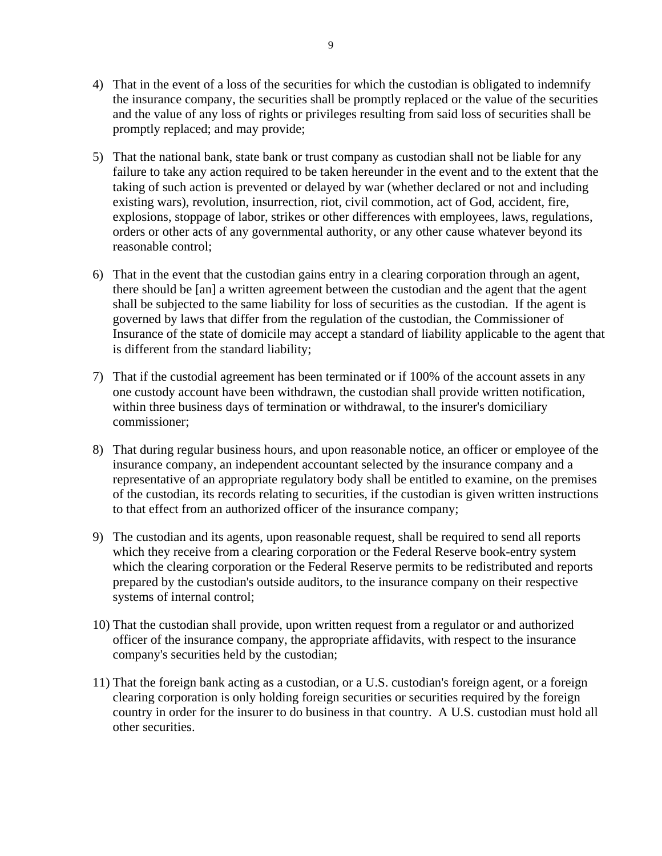- 4) That in the event of a loss of the securities for which the custodian is obligated to indemnify the insurance company, the securities shall be promptly replaced or the value of the securities and the value of any loss of rights or privileges resulting from said loss of securities shall be promptly replaced; and may provide;
- 5) That the national bank, state bank or trust company as custodian shall not be liable for any failure to take any action required to be taken hereunder in the event and to the extent that the taking of such action is prevented or delayed by war (whether declared or not and including existing wars), revolution, insurrection, riot, civil commotion, act of God, accident, fire, explosions, stoppage of labor, strikes or other differences with employees, laws, regulations, orders or other acts of any governmental authority, or any other cause whatever beyond its reasonable control;
- 6) That in the event that the custodian gains entry in a clearing corporation through an agent, there should be [an] a written agreement between the custodian and the agent that the agent shall be subjected to the same liability for loss of securities as the custodian. If the agent is governed by laws that differ from the regulation of the custodian, the Commissioner of Insurance of the state of domicile may accept a standard of liability applicable to the agent that is different from the standard liability;
- 7) That if the custodial agreement has been terminated or if 100% of the account assets in any one custody account have been withdrawn, the custodian shall provide written notification, within three business days of termination or withdrawal, to the insurer's domiciliary commissioner;
- 8) That during regular business hours, and upon reasonable notice, an officer or employee of the insurance company, an independent accountant selected by the insurance company and a representative of an appropriate regulatory body shall be entitled to examine, on the premises of the custodian, its records relating to securities, if the custodian is given written instructions to that effect from an authorized officer of the insurance company;
- 9) The custodian and its agents, upon reasonable request, shall be required to send all reports which they receive from a clearing corporation or the Federal Reserve book-entry system which the clearing corporation or the Federal Reserve permits to be redistributed and reports prepared by the custodian's outside auditors, to the insurance company on their respective systems of internal control;
- 10) That the custodian shall provide, upon written request from a regulator or and authorized officer of the insurance company, the appropriate affidavits, with respect to the insurance company's securities held by the custodian;
- 11) That the foreign bank acting as a custodian, or a U.S. custodian's foreign agent, or a foreign clearing corporation is only holding foreign securities or securities required by the foreign country in order for the insurer to do business in that country. A U.S. custodian must hold all other securities.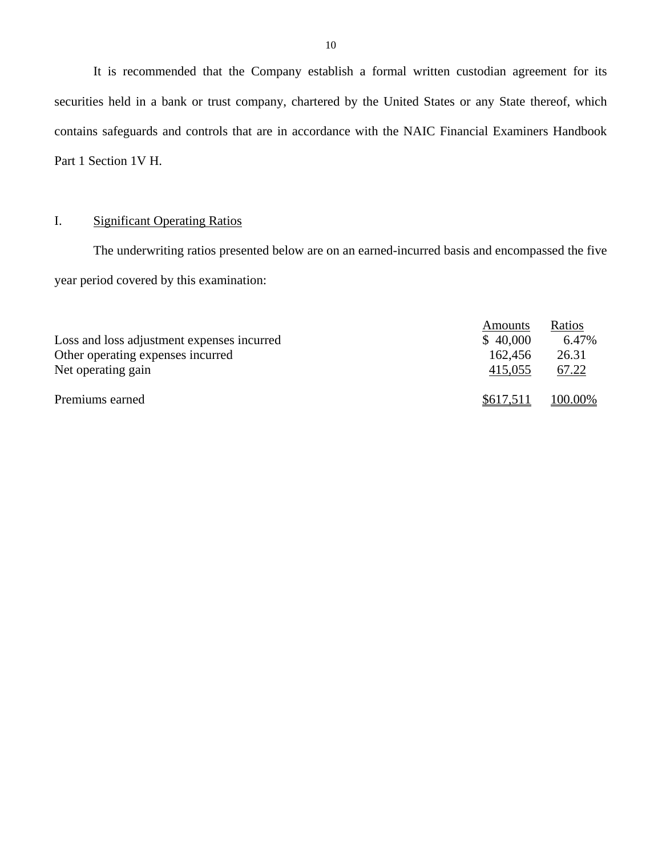It is recommended that the Company establish a formal written custodian agreement for its securities held in a bank or trust company, chartered by the United States or any State thereof, which contains safeguards and controls that are in accordance with the NAIC Financial Examiners Handbook Part 1 Section 1V H.

#### I. Significant Operating Ratios

The underwriting ratios presented below are on an earned-incurred basis and encompassed the five year period covered by this examination:

|                                            | Amounts   | Ratios  |
|--------------------------------------------|-----------|---------|
| Loss and loss adjustment expenses incurred | \$40,000  | 6.47%   |
| Other operating expenses incurred          | 162,456   | 26.31   |
| Net operating gain                         | 415,055   | 67.22   |
| Premiums earned                            | \$617,511 | 100.00% |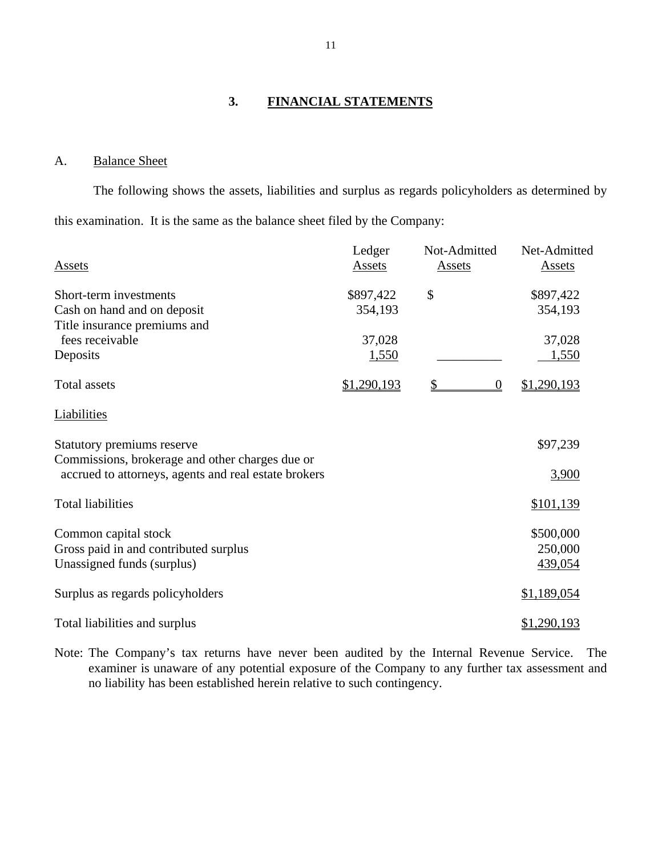## **3. FINANCIAL STATEMENTS**

### A. Balance Sheet

The following shows the assets, liabilities and surplus as regards policyholders as determined by this examination. It is the same as the balance sheet filed by the Company:

| Assets                                                                                                  | Ledger<br>Assets | Not-Admitted<br>Assets | Net-Admitted<br><b>Assets</b> |
|---------------------------------------------------------------------------------------------------------|------------------|------------------------|-------------------------------|
| Short-term investments                                                                                  | \$897,422        | \$                     | \$897,422                     |
| Cash on hand and on deposit                                                                             | 354,193          |                        | 354,193                       |
| Title insurance premiums and<br>fees receivable                                                         | 37,028           |                        | 37,028                        |
| Deposits                                                                                                | <u>1,550</u>     |                        | 1,550                         |
| <b>Total assets</b>                                                                                     | \$1,290,193      | \$<br>$\theta$         | \$1,290,193                   |
| Liabilities                                                                                             |                  |                        |                               |
| Statutory premiums reserve                                                                              |                  |                        | \$97,239                      |
| Commissions, brokerage and other charges due or<br>accrued to attorneys, agents and real estate brokers |                  |                        | 3,900                         |
| <b>Total liabilities</b>                                                                                |                  |                        | \$101,139                     |
| Common capital stock                                                                                    |                  |                        | \$500,000                     |
| Gross paid in and contributed surplus                                                                   |                  |                        | 250,000                       |
| Unassigned funds (surplus)                                                                              |                  |                        | 439,054                       |
| Surplus as regards policyholders                                                                        |                  |                        | \$1,189,054                   |
| Total liabilities and surplus                                                                           |                  |                        | \$1,290,193                   |

Note: The Company's tax returns have never been audited by the Internal Revenue Service. The examiner is unaware of any potential exposure of the Company to any further tax assessment and no liability has been established herein relative to such contingency.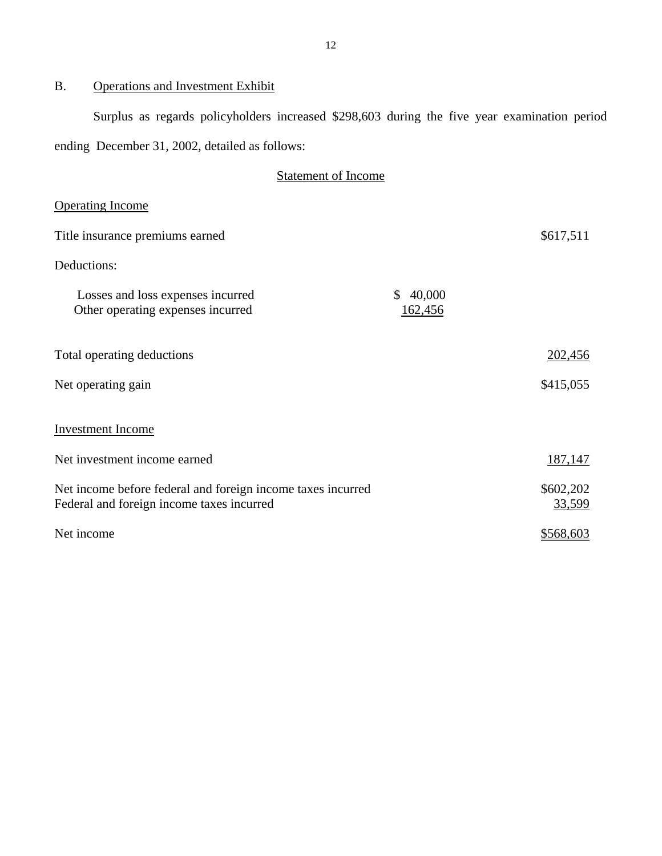# B. Operations and Investment Exhibit

Surplus as regards policyholders increased \$298,603 during the five year examination period ending December 31, 2002, detailed as follows:

| <b>Statement of Income</b>                                                                               |                                   |                     |
|----------------------------------------------------------------------------------------------------------|-----------------------------------|---------------------|
| <b>Operating Income</b>                                                                                  |                                   |                     |
| Title insurance premiums earned                                                                          |                                   | \$617,511           |
| Deductions:                                                                                              |                                   |                     |
| Losses and loss expenses incurred<br>Other operating expenses incurred                                   | $\mathbb{S}$<br>40,000<br>162,456 |                     |
| Total operating deductions                                                                               |                                   | 202,456             |
| Net operating gain                                                                                       |                                   | \$415,055           |
| <b>Investment Income</b>                                                                                 |                                   |                     |
| Net investment income earned                                                                             |                                   | 187,147             |
| Net income before federal and foreign income taxes incurred<br>Federal and foreign income taxes incurred |                                   | \$602,202<br>33,599 |
| Net income                                                                                               |                                   | \$568,603           |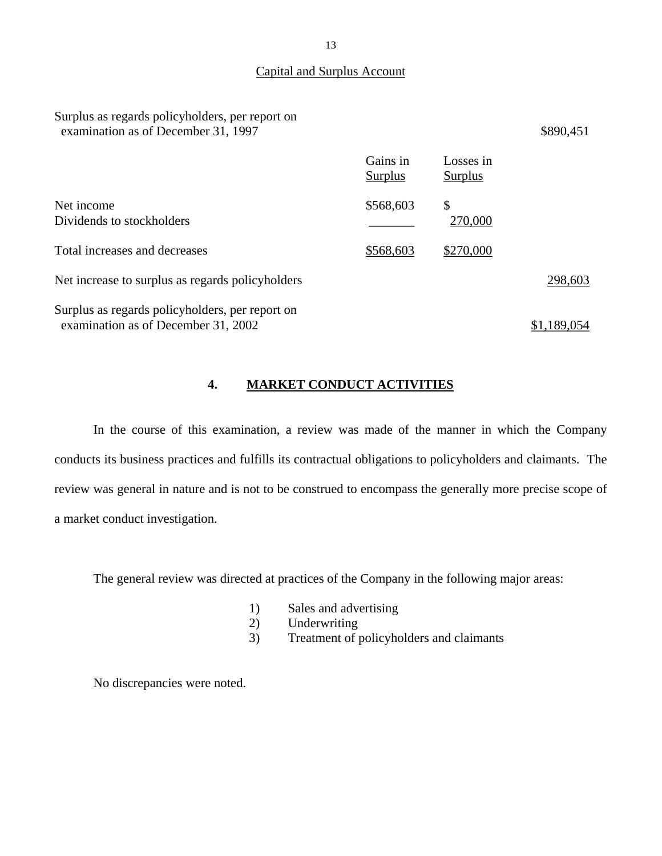#### Capital and Surplus Account

### Surplus as regards policyholders, per report on examination as of December 31, 1997 \$890,451

|                                                                                        | Gains in<br><b>Surplus</b> | Losses in<br>Surplus |             |
|----------------------------------------------------------------------------------------|----------------------------|----------------------|-------------|
| Net income<br>Dividends to stockholders                                                | \$568,603                  | \$<br>270,000        |             |
| Total increases and decreases                                                          | \$568,603                  | \$270,000            |             |
| Net increase to surplus as regards policyholders                                       |                            |                      | 298,603     |
| Surplus as regards policyholders, per report on<br>examination as of December 31, 2002 |                            |                      | \$1,189,054 |

## **4. MARKET CONDUCT ACTIVITIES**

In the course of this examination, a review was made of the manner in which the Company conducts its business practices and fulfills its contractual obligations to policyholders and claimants. The review was general in nature and is not to be construed to encompass the generally more precise scope of a market conduct investigation.

The general review was directed at practices of the Company in the following major areas:

- 1) Sales and advertising
- 2) Underwriting
- 3) Treatment of policyholders and claimants

No discrepancies were noted.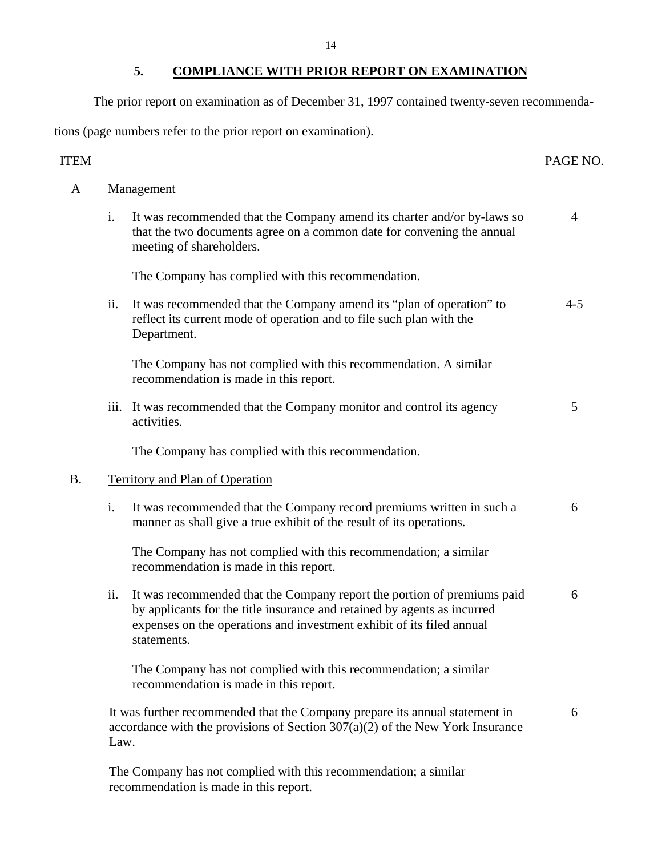## **5. COMPLIANCE WITH PRIOR REPORT ON EXAMINATION**

The prior report on examination as of December 31, 1997 contained twenty-seven recommenda-

tions (page numbers refer to the prior report on examination).

## **ITEM**

## PAGE NO.

| A  |                           | Management                                                                                                                                                                                                                                  |                |  |  |  |
|----|---------------------------|---------------------------------------------------------------------------------------------------------------------------------------------------------------------------------------------------------------------------------------------|----------------|--|--|--|
|    | i.                        | It was recommended that the Company amend its charter and/or by-laws so<br>that the two documents agree on a common date for convening the annual<br>meeting of shareholders.                                                               | $\overline{4}$ |  |  |  |
|    |                           | The Company has complied with this recommendation.                                                                                                                                                                                          |                |  |  |  |
|    | ii.                       | It was recommended that the Company amend its "plan of operation" to<br>reflect its current mode of operation and to file such plan with the<br>Department.                                                                                 | $4 - 5$        |  |  |  |
|    |                           | The Company has not complied with this recommendation. A similar<br>recommendation is made in this report.                                                                                                                                  |                |  |  |  |
|    | $\overline{\text{iii}}$ . | It was recommended that the Company monitor and control its agency<br>activities.                                                                                                                                                           | 5              |  |  |  |
|    |                           | The Company has complied with this recommendation.                                                                                                                                                                                          |                |  |  |  |
| B. |                           | <b>Territory and Plan of Operation</b>                                                                                                                                                                                                      |                |  |  |  |
|    | i.                        | It was recommended that the Company record premiums written in such a<br>manner as shall give a true exhibit of the result of its operations.                                                                                               | 6              |  |  |  |
|    |                           | The Company has not complied with this recommendation; a similar<br>recommendation is made in this report.                                                                                                                                  |                |  |  |  |
|    | ii.                       | It was recommended that the Company report the portion of premiums paid<br>by applicants for the title insurance and retained by agents as incurred<br>expenses on the operations and investment exhibit of its filed annual<br>statements. | 6              |  |  |  |
|    |                           | The Company has not complied with this recommendation; a similar<br>recommendation is made in this report.                                                                                                                                  |                |  |  |  |
|    | Law.                      | It was further recommended that the Company prepare its annual statement in<br>accordance with the provisions of Section $307(a)(2)$ of the New York Insurance                                                                              | 6              |  |  |  |
|    |                           |                                                                                                                                                                                                                                             |                |  |  |  |

The Company has not complied with this recommendation; a similar recommendation is made in this report.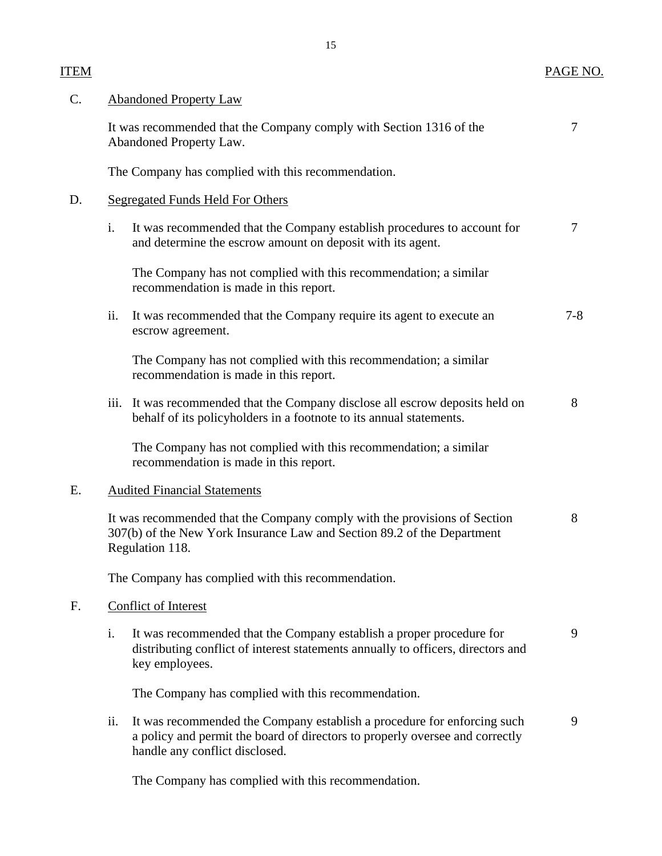# ITEM PAGE NO.

| C. |      | <b>Abandoned Property Law</b>                                                                                                                                                             |         |  |  |
|----|------|-------------------------------------------------------------------------------------------------------------------------------------------------------------------------------------------|---------|--|--|
|    |      | It was recommended that the Company comply with Section 1316 of the<br>Abandoned Property Law.                                                                                            | 7       |  |  |
|    |      | The Company has complied with this recommendation.                                                                                                                                        |         |  |  |
| D. |      | <b>Segregated Funds Held For Others</b>                                                                                                                                                   |         |  |  |
|    | i.   | It was recommended that the Company establish procedures to account for<br>and determine the escrow amount on deposit with its agent.                                                     | 7       |  |  |
|    |      | The Company has not complied with this recommendation; a similar<br>recommendation is made in this report.                                                                                |         |  |  |
|    | ii.  | It was recommended that the Company require its agent to execute an<br>escrow agreement.                                                                                                  | $7 - 8$ |  |  |
|    |      | The Company has not complied with this recommendation; a similar<br>recommendation is made in this report.                                                                                |         |  |  |
|    | iii. | It was recommended that the Company disclose all escrow deposits held on<br>behalf of its policyholders in a footnote to its annual statements.                                           | 8       |  |  |
|    |      | The Company has not complied with this recommendation; a similar<br>recommendation is made in this report.                                                                                |         |  |  |
| E. |      | <b>Audited Financial Statements</b>                                                                                                                                                       |         |  |  |
|    |      | It was recommended that the Company comply with the provisions of Section<br>307(b) of the New York Insurance Law and Section 89.2 of the Department<br>Regulation 118.                   | 8       |  |  |
|    |      | The Company has complied with this recommendation.                                                                                                                                        |         |  |  |
| F. |      | Conflict of Interest                                                                                                                                                                      |         |  |  |
|    | i.   | It was recommended that the Company establish a proper procedure for<br>distributing conflict of interest statements annually to officers, directors and<br>key employees.                | 9       |  |  |
|    |      | The Company has complied with this recommendation.                                                                                                                                        |         |  |  |
|    | ii.  | It was recommended the Company establish a procedure for enforcing such<br>a policy and permit the board of directors to properly oversee and correctly<br>handle any conflict disclosed. | 9       |  |  |
|    |      |                                                                                                                                                                                           |         |  |  |

The Company has complied with this recommendation.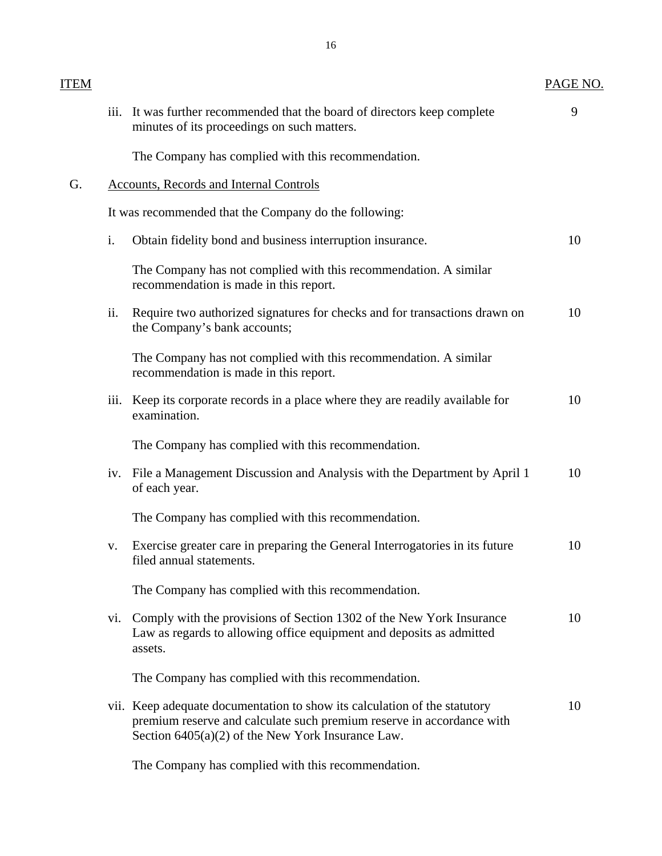| <b>ITEM</b> |      |                                                                                                                                                                                                           | PAGE NO. |
|-------------|------|-----------------------------------------------------------------------------------------------------------------------------------------------------------------------------------------------------------|----------|
|             | iii. | It was further recommended that the board of directors keep complete<br>minutes of its proceedings on such matters.                                                                                       | 9        |
|             |      | The Company has complied with this recommendation.                                                                                                                                                        |          |
| G.          |      | <b>Accounts, Records and Internal Controls</b>                                                                                                                                                            |          |
|             |      | It was recommended that the Company do the following:                                                                                                                                                     |          |
|             | i.   | Obtain fidelity bond and business interruption insurance.                                                                                                                                                 | 10       |
|             |      | The Company has not complied with this recommendation. A similar<br>recommendation is made in this report.                                                                                                |          |
|             | ii.  | Require two authorized signatures for checks and for transactions drawn on<br>the Company's bank accounts;                                                                                                | 10       |
|             |      | The Company has not complied with this recommendation. A similar<br>recommendation is made in this report.                                                                                                |          |
|             | iii. | Keep its corporate records in a place where they are readily available for<br>examination.                                                                                                                | 10       |
|             |      | The Company has complied with this recommendation.                                                                                                                                                        |          |
|             |      | iv. File a Management Discussion and Analysis with the Department by April 1<br>of each year.                                                                                                             | 10       |
|             |      | The Company has complied with this recommendation.                                                                                                                                                        |          |
|             | V.   | Exercise greater care in preparing the General Interrogatories in its future<br>filed annual statements.                                                                                                  | 10       |
|             |      | The Company has complied with this recommendation.                                                                                                                                                        |          |
|             | V1.  | Comply with the provisions of Section 1302 of the New York Insurance<br>Law as regards to allowing office equipment and deposits as admitted<br>assets.                                                   | 10       |
|             |      | The Company has complied with this recommendation.                                                                                                                                                        |          |
|             |      | vii. Keep adequate documentation to show its calculation of the statutory<br>premium reserve and calculate such premium reserve in accordance with<br>Section $6405(a)(2)$ of the New York Insurance Law. | 10       |
|             |      | The Company has complied with this recommendation.                                                                                                                                                        |          |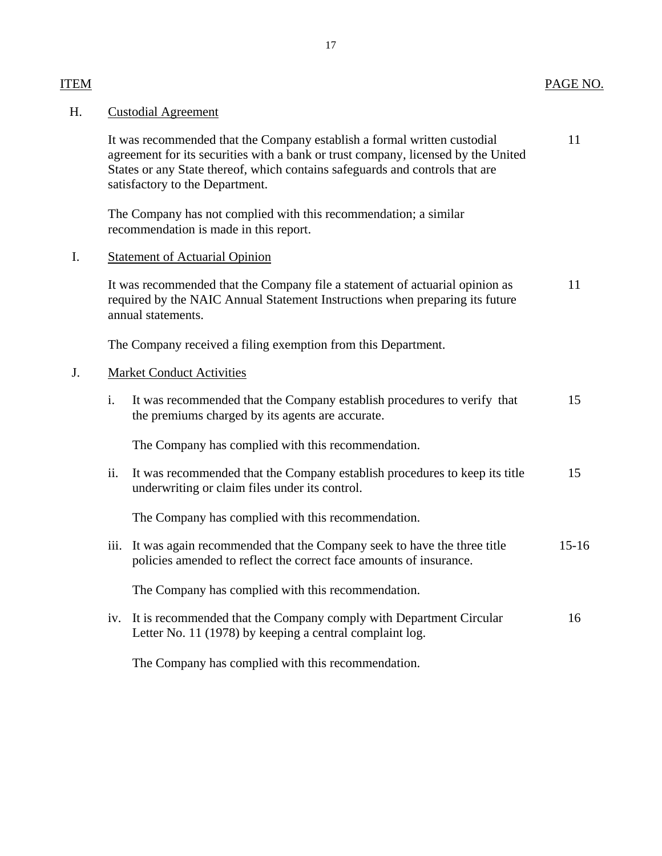| Н. | <b>Custodial Agreement</b>                                                                                                                                                         |                                                                                                                                                                                                                                                                                  |           |
|----|------------------------------------------------------------------------------------------------------------------------------------------------------------------------------------|----------------------------------------------------------------------------------------------------------------------------------------------------------------------------------------------------------------------------------------------------------------------------------|-----------|
|    |                                                                                                                                                                                    | It was recommended that the Company establish a formal written custodial<br>agreement for its securities with a bank or trust company, licensed by the United<br>States or any State thereof, which contains safeguards and controls that are<br>satisfactory to the Department. | 11        |
|    |                                                                                                                                                                                    | The Company has not complied with this recommendation; a similar<br>recommendation is made in this report.                                                                                                                                                                       |           |
| I. | <b>Statement of Actuarial Opinion</b>                                                                                                                                              |                                                                                                                                                                                                                                                                                  |           |
|    | It was recommended that the Company file a statement of actuarial opinion as<br>required by the NAIC Annual Statement Instructions when preparing its future<br>annual statements. |                                                                                                                                                                                                                                                                                  | 11        |
|    |                                                                                                                                                                                    | The Company received a filing exemption from this Department.                                                                                                                                                                                                                    |           |
| J. | <b>Market Conduct Activities</b>                                                                                                                                                   |                                                                                                                                                                                                                                                                                  |           |
|    | i.                                                                                                                                                                                 | It was recommended that the Company establish procedures to verify that<br>the premiums charged by its agents are accurate.                                                                                                                                                      | 15        |
|    |                                                                                                                                                                                    | The Company has complied with this recommendation.                                                                                                                                                                                                                               |           |
|    | ii.                                                                                                                                                                                | It was recommended that the Company establish procedures to keep its title<br>underwriting or claim files under its control.                                                                                                                                                     | 15        |
|    |                                                                                                                                                                                    | The Company has complied with this recommendation.                                                                                                                                                                                                                               |           |
|    | iii.                                                                                                                                                                               | It was again recommended that the Company seek to have the three title<br>policies amended to reflect the correct face amounts of insurance.                                                                                                                                     | $15 - 16$ |
|    |                                                                                                                                                                                    | The Company has complied with this recommendation.                                                                                                                                                                                                                               |           |
|    |                                                                                                                                                                                    | iv. It is recommended that the Company comply with Department Circular<br>Letter No. 11 (1978) by keeping a central complaint log.                                                                                                                                               | 16        |
|    |                                                                                                                                                                                    | The Company has complied with this recommendation.                                                                                                                                                                                                                               |           |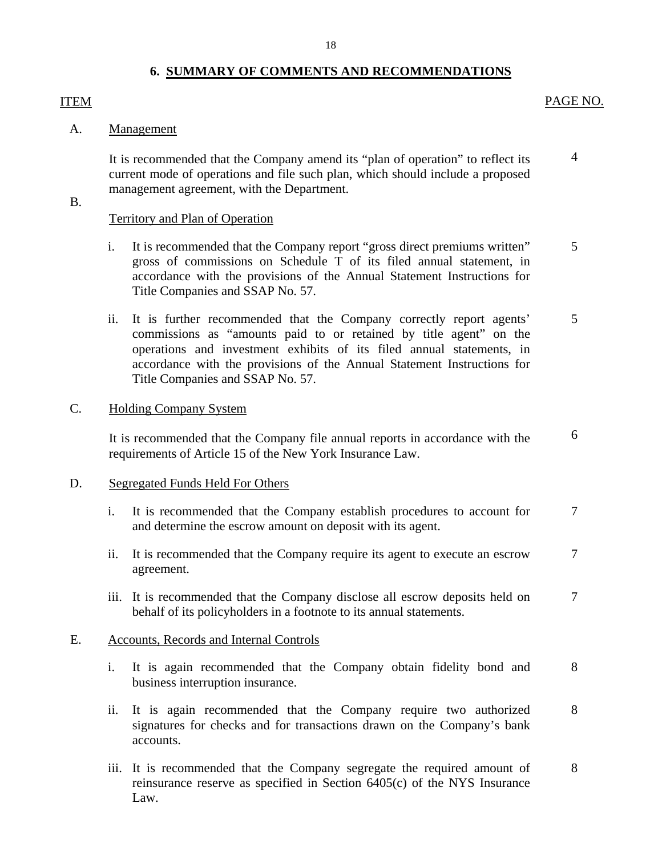## **6. SUMMARY OF COMMENTS AND RECOMMENDATIONS**

## <span id="page-19-0"></span>**ITEM**

#### PAGE NO.

5

5

6

#### A. Management

It is recommended that the Company amend its "plan of operation" to reflect its current mode of operations and file such plan, which should include a proposed management agreement, with the Department. 4

### B.

### Territory and Plan of Operation

- i. It is recommended that the Company report "gross direct premiums written" gross of commissions on Schedule T of its filed annual statement, in accordance with the provisions of the Annual Statement Instructions for Title Companies and SSAP No. 57.
- ii. It is further recommended that the Company correctly report agents' commissions as "amounts paid to or retained by title agent" on the operations and investment exhibits of its filed annual statements, in accordance with the provisions of the Annual Statement Instructions for Title Companies and SSAP No. 57.

#### C. Holding Company System

It is recommended that the Company file annual reports in accordance with the requirements of Article 15 of the New York Insurance Law.

#### D. Segregated Funds Held For Others

- i. It is recommended that the Company establish procedures to account for and determine the escrow amount on deposit with its agent. 7
- ii. It is recommended that the Company require its agent to execute an escrow agreement. 7
- iii. It is recommended that the Company disclose all escrow deposits held on behalf of its policyholders in a footnote to its annual statements. 7

#### E. Accounts, Records and Internal Controls

- i. It is again recommended that the Company obtain fidelity bond and business interruption insurance. 8
- ii. It is again recommended that the Company require two authorized signatures for checks and for transactions drawn on the Company's bank accounts. 8
- iii. It is recommended that the Company segregate the required amount of reinsurance reserve as specified in Section 6405(c) of the NYS Insurance Law. 8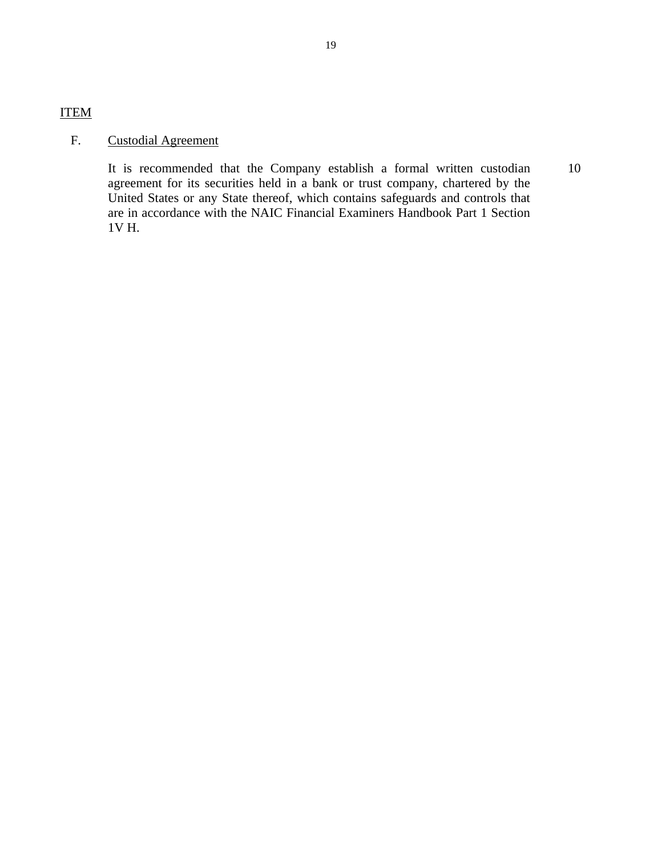## ITEM

## F. Custodial Agreement

It is recommended that the Company establish a formal written custodian agreement for its securities held in a bank or trust company, chartered by the United States or any State thereof, which contains safeguards and controls that are in accordance with the NAIC Financial Examiners Handbook Part 1 Section 1V H. 10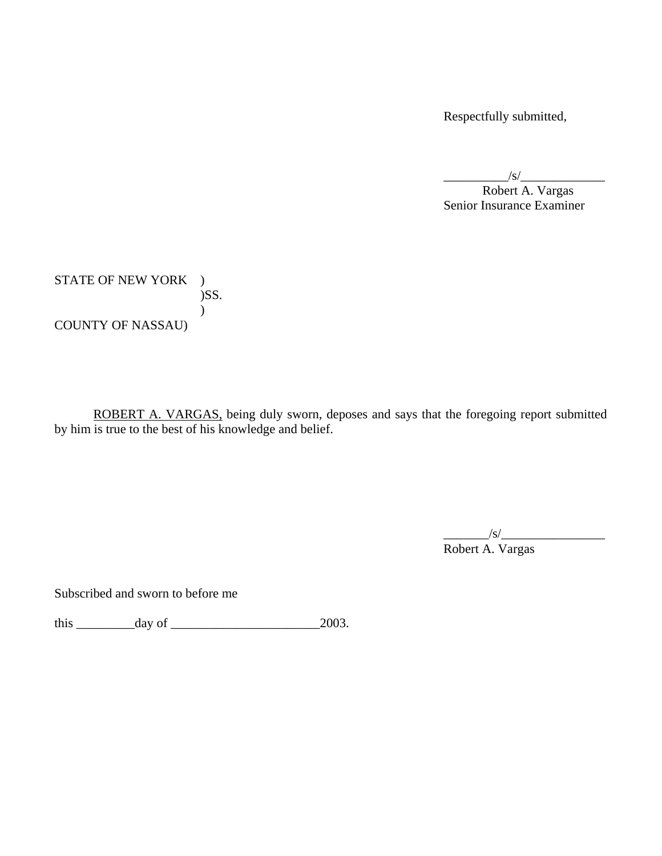Respectfully submitted,

 $\frac{1}{s}$ 

 Senior Insurance Examiner Robert A. Vargas

STATE OF NEW YORK ) )SS.  $\overline{)}$ COUNTY OF NASSAU)

ROBERT A. VARGAS, being duly sworn, deposes and says that the foregoing report submitted by him is true to the best of his knowledge and belief.

\_\_\_\_\_\_\_/s/\_\_\_\_\_\_\_\_\_\_\_\_\_\_\_\_

Robert A. Vargas

Subscribed and sworn to before me

this \_\_\_\_\_\_\_\_\_day of \_\_\_\_\_\_\_\_\_\_\_\_\_\_\_\_\_\_\_\_\_\_\_2003.